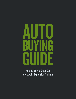# **AUTO BUYING** GUIDE

How To Buy A Great Car And Avoid Expensive Mishaps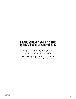# HOW DO YOU KNOW WHEN IT'S TIME TO BUY A NEW OR NEW-TO-YOU CAR?

For some, the very idea of buying a new car is the epitome of purgatory. Others salivate when they think of the proverbial 'new car smell.'

No matter which end of the spectrum you find yourself, this guide offers tips to get you through it.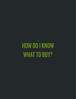HOW DO I KNOW WHAT TO BUY? **1**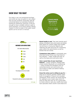# KNOW WHAT YOU WANT

For many, a car is an emotional purchase. And while we may not admit it, cars reflect how we see ourselves: financially well-off, concerned about our planetary footprint, looking for adventure, practical. It may be enough to have a reliable vehicle to get to work and back, or for those raising a family, maybe it's time to trade in the super-sweet sports car for an SUV or minivan.

# **CONSUMER REPORTS** tells all about car buying. Find car ratings by clicking **HERE**.



**Brand loyalty is real.** That said, brands aren't always consistent and some years are better than others for certain makes and models. Car & Driver or Consumer Reports are relatively fail-safe resources for comparing years within the same brand, as well as brands that are similar.

**Comparison shop online** to potentially save time and money. Know your top three-tofive vehicles — make, model and year, as well as the base price and extra costs.

### **Have a good idea of your must-have features** — power windows, heated seats, cruise control, Bluetooth, air conditioning — many of these are standard, even for some bare-bones cars and trucks, but you'll want to make sure before making your purchase.

### **Know the extras you're willing to pay for** back-up or reverse cameras, leather seats, built-in navigation if they're not included. Sometimes, those 'extras' are worth paying for, adding to your resale value when it's time for that next new car. It's a good idea to check online or ask your credit union auto

loan specialist what's worth it and what isn't.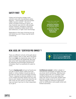

Unless you're buying vintage, most vehicles come with standardized safety features — front airbags, anti-lock brakes (ABS), traction control — the list of what's included continues to grow. You may, however, pay extra for side airbags, reverse cameras, emergency response systems, emergency brake assist, blind spot detection, or night vision technology.

Depending on the type of driving you do and where you do it, these may be worth considering.

Check the crash test rating from the **Insurance Institute for Highway Safety**, as well as the **Consumer Reports Guide to Car Reliability.** 

# NEW, USED, OR "CERTIFIED PRE-OWNED"?

There are different schools of thought about which is better, new or used. We've all heard that most **new** cars depreciate about 10% as soon as they leave the dealership. But they also come with reasonable assurance that by following recommended maintenance schedules, they'll run perfectly for years to come.

If you're **buying used** and you've found your car, get a CarFax report, either from the dealer or online. Dealers should be able to provide you with service and repair records. They're required to disclose whether or not a car's engine has been rebuilt, but you may have to ask. Dealers should also have the car title; if the car just came in on trade, they may not have it yet, but it's their responsibility to get it.



Always look at the life of a vehicle, and the total cost of ownership. **Above all, your new car is about how it makes you feel.**

**Certified pre-owned** is either a dealer or manufacturer guarantee of quality (be sure you know who's certifying), offering more certainty about the car's condition. Most certified vehicles are no more than five years old, have no more than 75,000 miles, and had a single owner for at least a year. They're subject to extensive inspections prior to certification, and usually come with limited warranties.

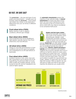# GO FAST, OR SAVE GAS?

The **powertrain**  $-$  the size and type of your engine and transmission — propels your car forward, while the drivetrain - front-wheel, rear-wheel, four-wheel, or all-wheel drive – determines how your car drives in different conditions.

## **Front-wheel drive (FWD)**

Better traction in wet or slippery conditions, efficient gas mileage.

### **Rear-wheel drive (RWD)**

Fast acceleration but worse handling at high-speeds, typically heavier than frontwheel drive, less fuel-efficient.

### **All-wheel drive (AWD)**

Always on, provides good traction in most conditions and can be used at all speeds; not a substitute for an off-road vehicle on backroads.

### **Four-wheel drive (4WD)**

Excellent traction in rain, snow, mud, and dirt; a good bet if you're doing a lot of offroad driving. Found most often on trucks, 4WD usually has multiple settings, can be turned on and off, and isn't designed to be used at higher speeds.

An **automatic transmission** powers the majority of new vehicles today. A **manual transmission** for those who like to drive them can save some maintenance costs Also, because so few of us know how to drive a stick shift now, they're considered to be somewhat theft-proof.



### **Engine and fuel types matter.**

Gas prices fluctuate, and engine size is part of the equation when assessing gas mileage. Lower horsepower and fewer cylinders make for better fuel economy but might not have as much get-up-

and-go. **Diesel fuel** can offer better mileage but gets a bad rap environmentally (unless you run biodiesel and like the smell of French fries). **Electric, hybrid and plug-in hybrids** are more expensive and research suggests the economic benefits don't kick in until you've had the vehicle for seven years, but fueling up is easier than ever – charging stations around the country have increased in both rural and urban areas. That, and you're likely to qualify for a government tax credit\*, rebates, or perks that vary by state (like HOV access). With an electric car, you will want to make sure that its trip range matches the distances you usually drive.



\*Consult with your tax advisor.

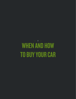WHEN AND HOW TO BUY YOUR CAR **2**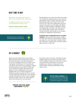# BEST TIME TO BUY

Bankrate says the best time to buy a car is before you need one.

A dealer will tell you every day is the best day to buy a car.

**There's some truth in both.**

Research shows most car owners keep their vehicles between five and 10 years.



Buying before you need one takes the stress out of decision making and you can wait for good deals, while a Labor Day deal may be possible any day of the year if you know how to ask. That said, negotiations may be quicker and easier on key dates, like Black Friday or major holidays. Weekdays, when the dealership isn't busy, may also work to your advantage. Dealers have month-tomonth and year-end quotas, so it's always possible to negotiate a good price.

**If buying new is important but so is saving** 

**money,** buying the previous year's model, or close-out, may be a good option. Dealers are eager to move last year's models when the next year's models start arriving, usually late summer or early fall.

# SET A BUDGET



Because buying decisions are typically 80% emotion and just 20% logic, even the practical among us can get suckered in, so set your budget once you've done your homework. Sometimes it's not what you can afford, but what you're willing to spend. Knowing what you can afford makes you more resilient to dealer persuasion and keeps you from tapping into your food budget with your monthly payments. Getting insurance quotes up front, as well as assessing licensing fees for your desired vehicle, will help you stick to your budget. Insurance rates vary by car value, age of driver, and where you live and work.

# **Check out our auto calculator HERE!**

Purchase price, insurance, and fees are your biggest expenses, but also consider what you're willing to spend on fuel costs, as well as maintenance and repairs. Know how reliable your vehicle is expected to be, and estimate ongoing maintenance and repair costs.



**Start with creating a spreadsheet** so you can compare purchase costs, interest rates, annual fuel costs and insurance. This helps to visualize the ongoing cost of ownership.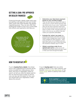# GETTING A LOAN: PRE-APPROVED OR DEALER FINANCED



Financing through a dealer might seem easy, but getting a pre-approval from your lender often comes with other benefits, like greater negotiating power. They can also offer their professional insight on how your current debt ratio affects your payments, and help you.



- Determine your ideal down payment based on your monthly budget. They can also help you assess the trade-in value of your current vehicle and how that can offset some of your costs. Traditionally, 20% was the down payment sweet spot, but the actual amount most car buyers lay down is closer to 10%. The best down payment is the one you can afford, that also makes your payments affordable.
- Evaluate the 'extras' you need, like extended warranties and GAP insurance. Dealers often charge twice what a credit union charges for GAP insurance – what you'll pay if your car is totaled in an accident and what you owe is more than what the insurance company says it's worth.
- Obtain a purchase order for an agreed-upon price so that you're not tempted to purchase extras you don't want or that cost more through the dealer.



If you're **buying from a dealer**, the sticker price is the suggested price and lists all the extras included, but unlike grocery store items, this price is negotiable. Online research can tell you what the dealer paid for the car and how long it's been on the lot (you can also ask the dealer for this), and you should start your negotiation a little above this amount.

If you're **buying used**, there are online guides to assess a car's value, features, and benefits: Edmunds, Kelly Blue Book, or the NADA guide, which is used by most credit unions.



**Not into negotiating?** You can bypass the whole process by purchasing online then picking up your new car right at the dealership.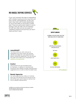# NO HAGGLE BUYING SERVICES

If you can't stomach the idea of negotiating with a dealer, buying services may save you time, money, and headaches. At the very least, they work with trusted dealerships, so you're less likely to encounter a shady deal. These are particularly helpful if you're buying a new car with a lot of inventory. As with any other service, be aware of 'upselling' products and services you don't need and don't want.

### **AutoSMART**<sup>1</sup>

You know what you want, and you've negotiated your price online; this ad-free site lets you apply for a pre-approved loan before visiting the dealership. You can browse the make and model you're interested in at seattlecu.com/autosmart.

### **Costco**<sup>2</sup>

They promise low, pre-arranged prices for members, in addition to manufacturer incentives; their website includes manufacturer's suggested price as well as what the dealer paid.

# **Rental Agencies**

Car rental agencies buy millions of vehicles each year, and sell the top five percent at the end of that year, which means an almost new car at a greatly reduced price.

1 AutoSMART services are provided by Credit Union Direct Lending and is not affiliated with Seattle Credit Union. Dealer fees may apply. 2 Costco is not affilated with Seattle Credit Union.

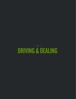# DRIVING & DEALING **3**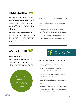# TIME FOR A TEST DRIVE



When you know what you want and what you can afford, head to a dealer and find your ride. **Before the test drive**, have the dealer walk you through and test all the components and features, and be sure you're happy with the aesthetics: interior and exterior colors, seating type, storage capacity, and quality of the electronics and sound system.

### **A test drive is not an obligation to buy**.

Even if you're sure you've found the one, it's a good idea to leave and return later to give yourself some objective distance before finalizing a deal. Get contact information from the salesperson and come back in an hour or 24.

## WHAT TO LOOK FOR DURING A TEST DRIVE:

COMFORT: leg and head room, lumbar support, getting in and out, ease of reach for controls and pedals.

HANDLING: acceleration, shifting (automatic or manual), steering, turning, parking, stopping/ braking, on hills, highway, arterial & residential streets, and in traffic, over bumps, and rough road.

VISIBILITY: blind spots, window ratio, cameras.

SOUND: listen for road, wind, and engine noise, as well as any type of rattle, squeal or squeak.

# DEALING WITH DEALERS



**Walk away if the price is too high;**  they want the sale more than you.

### **You've got the power.**

But that's easy to forget when you're in a dealer's grip. They'll try to keep you on the lot for as long as possible until you make a purchase. They may offer you a "buy now" price they say they won't be able to meet later.

> You can often find **lower prices through a dealership's online sales** department. Online sales rely on volume rather than individual sales markups.

# TIPS FROM A FORMER CAR SALESMAN:

• Get their contact information, and let them know you'll be in touch.

- Visit two or three dealers, and be sure they know you're considering your options.
- If you've already done your homework online and know what you're willing to pay based on what you found, state it.
- If you're considering trading in your car as all or part of your down payment, don't share that information until you've agreed on a purchase price.

• Negotiate your price online, then visit the dealer to sign paperwork and pick up your purchase. Internet sales are less intimidating and can give you more negotiating power.

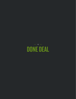